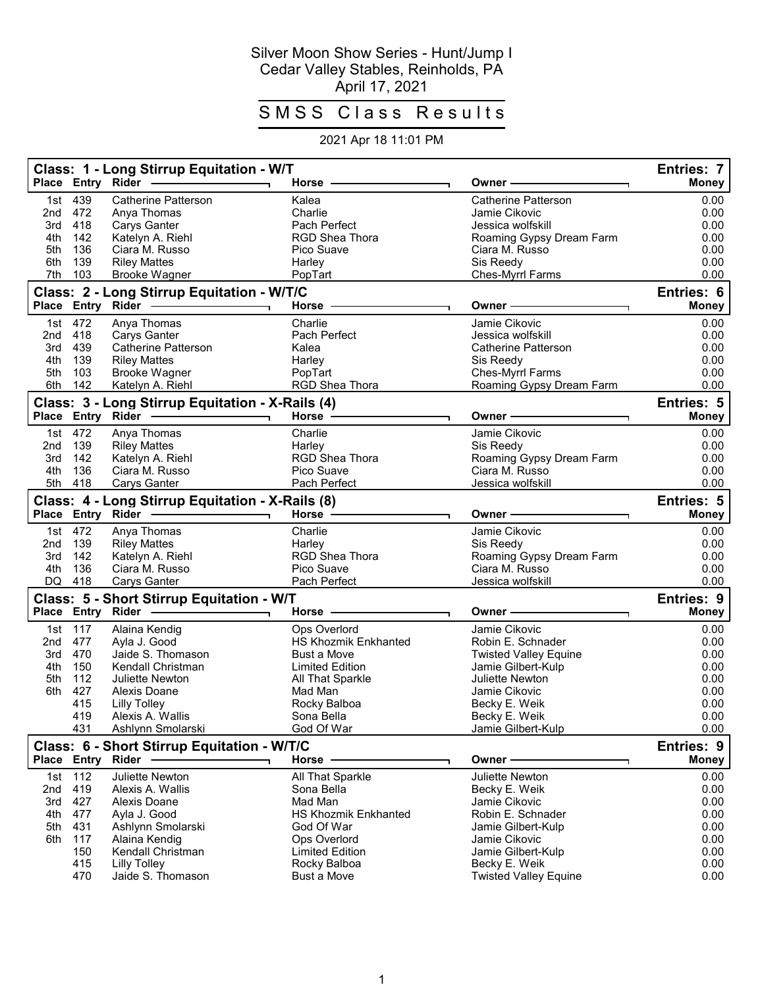## Silver Moon Show Series - Hunt/Jump I Cedar Valley Stables, Reinholds, PA April 17, 2021

## SMSS Class Results

## 2021 Apr 18 11:01 PM

|            | Place Entry Rider | Class: 1 - Long Stirrup Equitation - W/T                              | Horse                              | Owner                                         | Entries: 7<br><b>Money</b>        |
|------------|-------------------|-----------------------------------------------------------------------|------------------------------------|-----------------------------------------------|-----------------------------------|
|            |                   |                                                                       |                                    | <b>Catherine Patterson</b>                    |                                   |
| 1st<br>2nd | 439<br>472        | <b>Catherine Patterson</b><br>Anya Thomas                             | Kalea<br>Charlie                   | Jamie Cikovic                                 | 0.00<br>0.00                      |
| 3rd        | 418               | Carys Ganter                                                          | Pach Perfect                       | Jessica wolfskill                             | 0.00                              |
| 4th        | 142               | Katelyn A. Riehl                                                      | <b>RGD Shea Thora</b>              | Roaming Gypsy Dream Farm                      | 0.00                              |
| 5th        | 136               | Ciara M. Russo                                                        | Pico Suave                         | Ciara M. Russo                                | 0.00                              |
| 6th        | 139               | <b>Riley Mattes</b>                                                   | Harley                             | Sis Reedy                                     | 0.00                              |
| 7th        | 103               | <b>Brooke Wagner</b>                                                  | PopTart                            | Ches-Myrrl Farms                              | 0.00                              |
|            |                   | Class: 2 - Long Stirrup Equitation - W/T/C                            |                                    |                                               | Entries: 6                        |
|            | Place Entry       | Rider                                                                 | Horse                              | Owner                                         | <b>Money</b>                      |
|            | 1st 472           | Anya Thomas                                                           | Charlie                            | Jamie Cikovic                                 | 0.00                              |
| 2nd        | 418               | <b>Carys Ganter</b>                                                   | Pach Perfect                       | Jessica wolfskill                             | 0.00                              |
| 3rd        | 439               | <b>Catherine Patterson</b>                                            | Kalea                              | <b>Catherine Patterson</b>                    | 0.00                              |
| 4th        | 139               | <b>Riley Mattes</b>                                                   | Harley                             | Sis Reedy                                     | 0.00                              |
| 5th        | 103               | <b>Brooke Wagner</b>                                                  | PopTart                            | Ches-Myrrl Farms                              | 0.00                              |
| 6th        | 142               | Katelyn A. Riehl                                                      | RGD Shea Thora                     | Roaming Gypsy Dream Farm                      | 0.00                              |
|            |                   | Class: 3 - Long Stirrup Equitation - X-Rails (4)<br>Place Entry Rider | Horse                              | Owner                                         | Entries: 5<br><b>Money</b>        |
|            |                   |                                                                       |                                    |                                               |                                   |
|            | 1st 472           | Anya Thomas                                                           | Charlie                            | Jamie Cikovic                                 | 0.00                              |
| 2nd        | 139               | <b>Riley Mattes</b>                                                   | Harley                             | Sis Reedy                                     | 0.00                              |
| 3rd        | 142               | Katelyn A. Riehl                                                      | RGD Shea Thora                     | Roaming Gypsy Dream Farm                      | 0.00                              |
| 4th        | 136<br>5th 418    | Ciara M. Russo                                                        | Pico Suave<br>Pach Perfect         | Ciara M. Russo<br>Jessica wolfskill           | 0.00<br>0.00                      |
|            |                   | <b>Carys Ganter</b>                                                   |                                    |                                               |                                   |
|            | Place Entry       | Class: 4 - Long Stirrup Equitation - X-Rails (8)<br>Rider             | Horse -                            | Owner                                         | <b>Entries: 5</b><br><b>Money</b> |
|            | 1st 472           |                                                                       | Charlie                            | Jamie Cikovic                                 |                                   |
| 2nd        | 139               | Anya Thomas<br><b>Riley Mattes</b>                                    | Harley                             | Sis Reedy                                     | 0.00<br>0.00                      |
| 3rd        | 142               | Katelyn A. Riehl                                                      | <b>RGD Shea Thora</b>              | Roaming Gypsy Dream Farm                      | 0.00                              |
| 4th        | 136               | Ciara M. Russo                                                        | Pico Suave                         | Ciara M. Russo                                | 0.00                              |
| DQ         | 418               | <b>Carys Ganter</b>                                                   | Pach Perfect                       | Jessica wolfskill                             | 0.00                              |
|            |                   | Class: 5 - Short Stirrup Equitation - W/T                             |                                    |                                               | Entries: 9                        |
|            | Place Entry Rider |                                                                       | Horse                              | Owner -                                       | <b>Money</b>                      |
| 1st        | 117               | Alaina Kendig                                                         | Ops Overlord                       | Jamie Cikovic                                 | 0.00                              |
| 2nd        | 477               | Ayla J. Good                                                          | <b>HS Khozmik Enkhanted</b>        | Robin E. Schnader                             | 0.00                              |
| 3rd        | 470               | Jaide S. Thomason                                                     | Bust a Move                        | <b>Twisted Valley Equine</b>                  | 0.00                              |
| 4th        | 150               | Kendall Christman                                                     | <b>Limited Edition</b>             | Jamie Gilbert-Kulp                            | 0.00                              |
| 5th        | 112               | Juliette Newton                                                       | All That Sparkle                   | Juliette Newton                               | 0.00                              |
| 6th        | 427               | Alexis Doane                                                          | Mad Man                            | Jamie Cikovic                                 | 0.00                              |
|            | 415               | <b>Lilly Tolley</b>                                                   | Rocky Balboa                       | Becky E. Weik                                 | 0.00                              |
|            | 419               | Alexis A. Wallis                                                      | Sona Bella                         | Becky E. Weik                                 | 0.00                              |
|            | 431               | Ashlynn Smolarski                                                     | God Of War                         | Jamie Gilbert-Kulp                            | 0.00                              |
|            |                   | Class: 6 - Short Stirrup Equitation - W/T/C                           |                                    |                                               | Entries: 9                        |
|            |                   | Place Entry Rider                                                     | Horse                              | Owner -                                       | <b>Money</b>                      |
| 1st        | 112               | Juliette Newton                                                       | All That Sparkle                   | Juliette Newton                               | 0.00                              |
| 2nd        | 419               | Alexis A. Wallis                                                      | Sona Bella                         | Becky E. Weik                                 | 0.00                              |
| 3rd        | 427               | Alexis Doane                                                          | Mad Man                            | Jamie Cikovic                                 | 0.00                              |
| 4th        | 477               | Ayla J. Good                                                          | <b>HS Khozmik Enkhanted</b>        | Robin E. Schnader                             | 0.00                              |
| 5th        | 431               | Ashlynn Smolarski                                                     | God Of War                         | Jamie Gilbert-Kulp                            | 0.00                              |
| 6th        | 117               | Alaina Kendig                                                         | Ops Overlord                       | Jamie Cikovic                                 | 0.00                              |
|            | 150               | Kendall Christman                                                     | <b>Limited Edition</b>             | Jamie Gilbert-Kulp                            | 0.00                              |
|            | 415<br>470        | <b>Lilly Tolley</b><br>Jaide S. Thomason                              | Rocky Balboa<br><b>Bust a Move</b> | Becky E. Weik<br><b>Twisted Valley Equine</b> | 0.00<br>0.00                      |
|            |                   |                                                                       |                                    |                                               |                                   |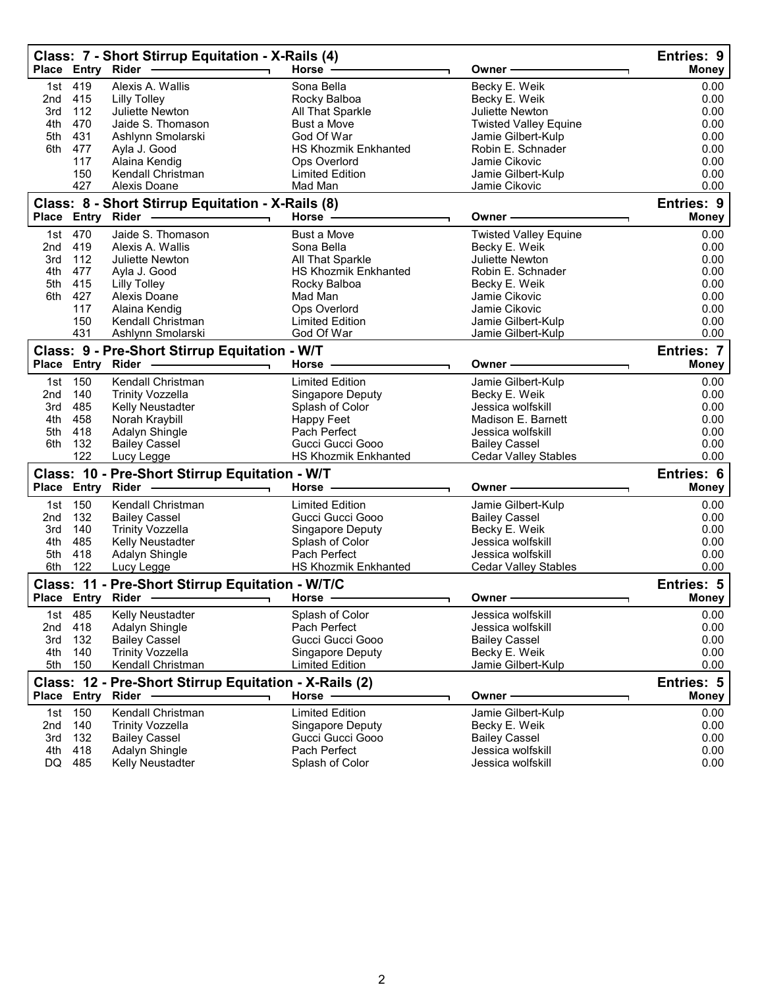|                 |                   | Class: 7 - Short Stirrup Equitation - X-Rails (4)      |                             |                              | <b>Entries: 9</b> |
|-----------------|-------------------|--------------------------------------------------------|-----------------------------|------------------------------|-------------------|
|                 | Place Entry Rider |                                                        | Horse $-$                   | Owner -                      | <b>Money</b>      |
| 1st             | 419               | Alexis A. Wallis                                       | Sona Bella                  | Becky E. Weik                | 0.00              |
| 2nd             | 415               | Lilly Tolley                                           | Rocky Balboa                | Becky E. Weik                | 0.00              |
| 3rd             | 112               | Juliette Newton                                        | All That Sparkle            | Juliette Newton              | 0.00              |
| 4th             | 470               | Jaide S. Thomason                                      | <b>Bust a Move</b>          | <b>Twisted Valley Equine</b> | 0.00              |
| 5th             | 431               | Ashlynn Smolarski                                      | God Of War                  | Jamie Gilbert-Kulp           | 0.00              |
| 6th             | 477               | Ayla J. Good                                           | <b>HS Khozmik Enkhanted</b> | Robin E. Schnader            | 0.00              |
|                 | 117               | Alaina Kendig                                          | Ops Overlord                | Jamie Cikovic                | 0.00              |
|                 | 150<br>427        | Kendall Christman                                      | <b>Limited Edition</b>      | Jamie Gilbert-Kulp           | 0.00              |
|                 |                   | Alexis Doane                                           | Mad Man                     | Jamie Cikovic                | 0.00              |
|                 |                   | Class: 8 - Short Stirrup Equitation - X-Rails (8)      |                             |                              | Entries: 9        |
|                 | Place Entry Rider |                                                        | Horse $-$                   | Owner ·                      | <b>Money</b>      |
| 1st             | 470               | Jaide S. Thomason                                      | Bust a Move                 | <b>Twisted Valley Equine</b> | 0.00              |
| 2 <sub>nd</sub> | 419               | Alexis A. Wallis                                       | Sona Bella                  | Becky E. Weik                | 0.00              |
| 3rd             | 112               | Juliette Newton                                        | All That Sparkle            | Juliette Newton              | 0.00              |
| 4th             | 477               | Ayla J. Good                                           | <b>HS Khozmik Enkhanted</b> | Robin E. Schnader            | 0.00              |
| 5th             | 415               | <b>Lilly Tolley</b>                                    | Rocky Balboa                | Becky E. Weik                | 0.00              |
| 6th             | 427               | Alexis Doane                                           | Mad Man                     | Jamie Cikovic                | 0.00              |
|                 | 117               | Alaina Kendig                                          | Ops Overlord                | Jamie Cikovic                | 0.00              |
|                 | 150               | Kendall Christman                                      | <b>Limited Edition</b>      | Jamie Gilbert-Kulp           | 0.00              |
|                 | 431               | Ashlynn Smolarski                                      | God Of War                  | Jamie Gilbert-Kulp           | 0.00              |
|                 |                   | Class: 9 - Pre-Short Stirrup Equitation - W/T          |                             |                              | <b>Entries: 7</b> |
|                 |                   | Place Entry Rider -                                    | Horse                       | Owner                        | <b>Money</b>      |
| 1st             | 150               | Kendall Christman                                      | <b>Limited Edition</b>      | Jamie Gilbert-Kulp           | 0.00              |
| 2 <sub>nd</sub> | 140               | <b>Trinity Vozzella</b>                                | Singapore Deputy            | Becky E. Weik                | 0.00              |
| 3rd             | 485               | Kelly Neustadter                                       | Splash of Color             | Jessica wolfskill            | 0.00              |
| 4th             | 458               | Norah Kraybill                                         | Happy Feet                  | Madison E. Barnett           | 0.00              |
| 5th             | 418               | Adalyn Shingle                                         | Pach Perfect                | Jessica wolfskill            | 0.00              |
| 6th             | 132               | <b>Bailey Cassel</b>                                   | Gucci Gucci Gooo            | <b>Bailey Cassel</b>         | 0.00              |
|                 | 122               | Lucy Legge                                             | <b>HS Khozmik Enkhanted</b> | <b>Cedar Valley Stables</b>  | 0.00              |
|                 |                   | Class: 10 - Pre-Short Stirrup Equitation - W/T         |                             |                              | Entries: 6        |
|                 | Place Entry Rider |                                                        | Horse ·                     | Owner -                      | <b>Money</b>      |
| 1st             | 150               | Kendall Christman                                      | <b>Limited Edition</b>      | Jamie Gilbert-Kulp           | 0.00              |
| 2 <sub>nd</sub> | 132               | <b>Bailey Cassel</b>                                   | Gucci Gucci Gooo            | <b>Bailey Cassel</b>         | 0.00              |
| 3rd             | 140               | <b>Trinity Vozzella</b>                                | Singapore Deputy            | Becky E. Weik                | 0.00              |
| 4th             | 485               | Kelly Neustadter                                       | Splash of Color             | Jessica wolfskill            | 0.00              |
| 5th             | 418               | Adalyn Shingle                                         | Pach Perfect                | Jessica wolfskill            | 0.00              |
| 6th             | 122               | Lucy Legge                                             | HS Khozmik Enkhanted        | <b>Cedar Valley Stables</b>  | 0.00              |
|                 |                   | Class: 11 - Pre-Short Stirrup Equitation - W/T/C       |                             |                              | Entries: 5        |
|                 |                   | Place Entry Rider - - -                                | Horse                       | Owner                        | <b>Money</b>      |
| 1st             | 485               | Kelly Neustadter                                       | Splash of Color             | Jessica wolfskill            | 0.00              |
| 2nd             | 418               | Adalyn Shingle                                         | Pach Perfect                | Jessica wolfskill            | 0.00              |
| 3rd             | 132               | <b>Bailey Cassel</b>                                   | Gucci Gucci Gooo            | <b>Bailey Cassel</b>         | 0.00              |
| 4th             | 140               | <b>Trinity Vozzella</b>                                | Singapore Deputy            | Becky E. Weik                | 0.00              |
| 5th             | 150               | Kendall Christman                                      | <b>Limited Edition</b>      | Jamie Gilbert-Kulp           | 0.00              |
|                 |                   | Class: 12 - Pre-Short Stirrup Equitation - X-Rails (2) |                             |                              | Entries: 5        |
|                 | Place Entry       | Rider                                                  | Horse                       | Owner                        | <b>Money</b>      |
|                 |                   |                                                        |                             |                              |                   |
| 1st             | 150               | Kendall Christman                                      | <b>Limited Edition</b>      | Jamie Gilbert-Kulp           | 0.00              |
| 2nd             | 140               | <b>Trinity Vozzella</b>                                | Singapore Deputy            | Becky E. Weik                | 0.00              |
| 3rd             | 132               | <b>Bailey Cassel</b>                                   | Gucci Gucci Gooo            | <b>Bailey Cassel</b>         | 0.00              |
| 4th             | 418               | Adalyn Shingle                                         | Pach Perfect                | Jessica wolfskill            | 0.00              |
| DQ              | 485               | Kelly Neustadter                                       | Splash of Color             | Jessica wolfskill            | 0.00              |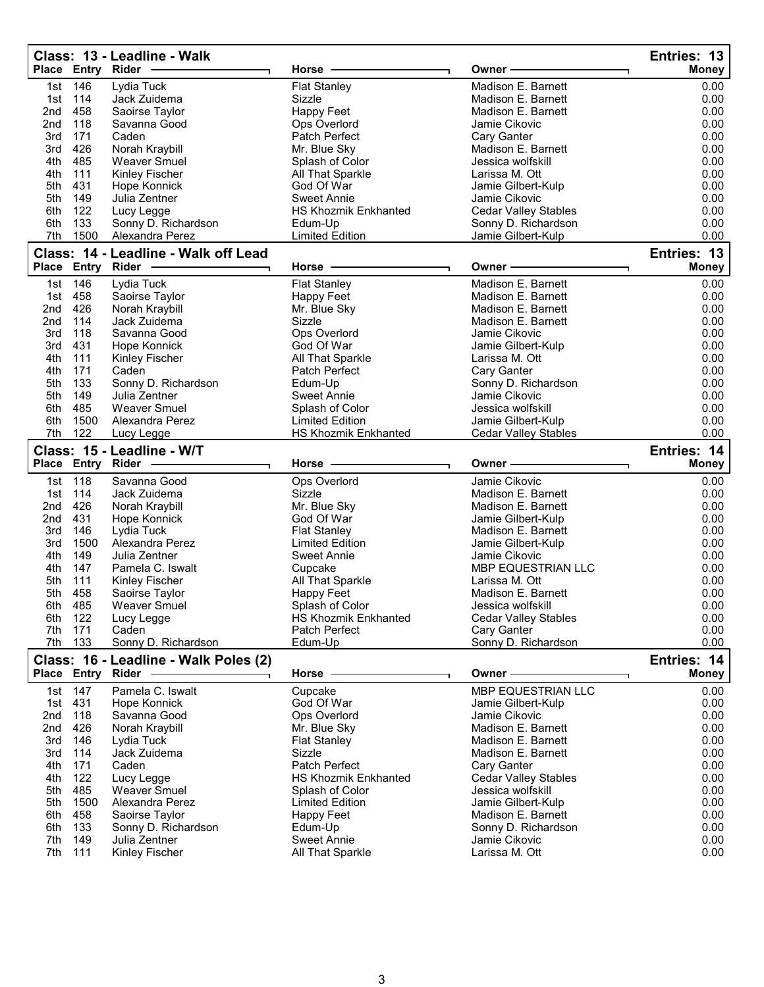|            | Place Entry Rider | Class: 13 - Leadline - Walk           | Horse                                  | Owner -                                            | Entries: 13<br><b>Money</b> |
|------------|-------------------|---------------------------------------|----------------------------------------|----------------------------------------------------|-----------------------------|
| 1st        | 146               | Lydia Tuck                            | <b>Flat Stanley</b>                    | Madison E. Barnett                                 | 0.00                        |
| 1st        | 114               | Jack Zuidema                          | Sizzle                                 | Madison E. Barnett                                 | 0.00                        |
| 2nd        | 458               | Saoirse Taylor                        | <b>Happy Feet</b>                      | Madison E. Barnett                                 | 0.00                        |
| 2nd        | 118               | Savanna Good                          | Ops Overlord                           | Jamie Cikovic                                      | 0.00                        |
| 3rd        | 171               | Caden                                 | Patch Perfect                          | Cary Ganter                                        | 0.00                        |
| 3rd        | 426               | Norah Kraybill                        | Mr. Blue Sky                           | Madison E. Barnett                                 | 0.00                        |
| 4th        | 485               | <b>Weaver Smuel</b>                   | Splash of Color                        | Jessica wolfskill                                  | 0.00                        |
| 4th        | 111               | Kinley Fischer                        | All That Sparkle                       | Larissa M. Ott                                     | 0.00                        |
| 5th        | 431               | Hope Konnick                          | God Of War                             | Jamie Gilbert-Kulp                                 | 0.00                        |
| 5th        | 149               | Julia Zentner                         | <b>Sweet Annie</b>                     | Jamie Cikovic                                      | 0.00                        |
| 6th        | 122               | Lucy Legge                            | <b>HS Khozmik Enkhanted</b>            |                                                    | 0.00                        |
| 6th        | 133               | Sonny D. Richardson                   | Edum-Up                                | <b>Cedar Valley Stables</b><br>Sonny D. Richardson | 0.00                        |
| 7th        | 1500              | Alexandra Perez                       | <b>Limited Edition</b>                 | Jamie Gilbert-Kulp                                 | 0.00                        |
|            |                   |                                       |                                        |                                                    |                             |
|            |                   | Class: 14 - Leadline - Walk off Lead  |                                        |                                                    | Entries: 13                 |
|            | Place Entry Rider |                                       | Horse                                  | Owner                                              | <b>Money</b>                |
| 1st        | 146               | Lydia Tuck                            | <b>Flat Stanley</b>                    | Madison E. Barnett                                 | 0.00                        |
| 1st        | 458               | Saoirse Taylor                        | Happy Feet                             | Madison E. Barnett                                 | 0.00                        |
| 2nd        | 426               | Norah Kraybill                        | Mr. Blue Sky                           | Madison E. Barnett                                 | 0.00                        |
| 2nd        | 114               | Jack Zuidema                          | Sizzle                                 | Madison E. Barnett                                 | 0.00                        |
| 3rd        | 118               | Savanna Good                          | Ops Overlord                           | Jamie Cikovic                                      | 0.00                        |
| 3rd        | 431               | Hope Konnick                          | God Of War                             | Jamie Gilbert-Kulp                                 | 0.00                        |
| 4th        | 111               | Kinley Fischer                        | All That Sparkle                       | Larissa M. Ott                                     | 0.00                        |
| 4th        | 171               | Caden                                 | Patch Perfect                          | Cary Ganter                                        | 0.00                        |
| 5th        | 133               | Sonny D. Richardson                   | Edum-Up                                | Sonny D. Richardson                                | 0.00                        |
| 5th        | 149               | Julia Zentner                         | <b>Sweet Annie</b>                     | Jamie Cikovic                                      | 0.00                        |
| 6th        | 485               | <b>Weaver Smuel</b>                   | Splash of Color                        | Jessica wolfskill                                  | 0.00                        |
| 6th        | 1500              | Alexandra Perez                       | <b>Limited Edition</b>                 | Jamie Gilbert-Kulp                                 | 0.00                        |
| 7th        | 122               | Lucy Legge                            | <b>HS Khozmik Enkhanted</b>            | <b>Cedar Valley Stables</b>                        | 0.00                        |
|            |                   | Class: 15 - Leadline - W/T            |                                        |                                                    | Entries: 14                 |
|            |                   | Place Entry Rider                     | Horse                                  | Owner                                              |                             |
|            |                   |                                       |                                        |                                                    |                             |
|            |                   |                                       |                                        |                                                    | <b>Money</b>                |
| 1st        | 118               | Savanna Good                          | Ops Overlord                           | Jamie Cikovic                                      | 0.00                        |
| 1st        | 114               | Jack Zuidema                          | Sizzle                                 | Madison E. Barnett                                 | 0.00                        |
| 2nd        | 426               | Norah Kraybill                        | Mr. Blue Sky                           | Madison E. Barnett                                 | 0.00                        |
| 2nd        | 431               | Hope Konnick                          | God Of War                             | Jamie Gilbert-Kulp                                 | 0.00                        |
| 3rd        | 146               | Lydia Tuck                            | <b>Flat Stanley</b>                    | Madison E. Barnett                                 | 0.00                        |
| 3rd        | 1500              | Alexandra Perez                       | <b>Limited Edition</b>                 | Jamie Gilbert-Kulp                                 | 0.00                        |
| 4th        | 149               | Julia Zentner                         | <b>Sweet Annie</b>                     | Jamie Cikovic                                      | 0.00                        |
| 4th        | 147               | Pamela C. Iswalt                      | Cupcake                                | MBP EQUESTRIAN LLC                                 | 0.00                        |
| 5th        | 111               | Kinley Fischer                        | All That Sparkle                       | Larissa M. Ott                                     | 0.00                        |
| 5th        | 458               | Saoirse Taylor                        | <b>Happy Feet</b>                      | Madison E. Barnett                                 | 0.00                        |
| 6th        | 485               | Weaver Smuel                          | Splash of Color                        | Jessica wolfskill                                  | 0.00                        |
| 6th        | 122               | Lucy Legge                            | <b>HS Khozmik Enkhanted</b>            | <b>Cedar Valley Stables</b>                        | 0.00                        |
| 7th        | 171               | Caden                                 | Patch Perfect                          | Cary Ganter                                        | 0.00                        |
| 7th        | 133               | Sonny D. Richardson                   | Edum-Up                                | Sonny D. Richardson                                | 0.00                        |
|            |                   | Class: 16 - Leadline - Walk Poles (2) |                                        |                                                    | Entries: 14                 |
|            | Place Entry Rider |                                       | Horse                                  | Owner -                                            | Money                       |
| 1st        | 147               | Pamela C. Iswalt                      | Cupcake                                | MBP EQUESTRIAN LLC                                 | 0.00                        |
| 1st        | 431               | Hope Konnick                          | God Of War                             | Jamie Gilbert-Kulp                                 | 0.00                        |
| 2nd        | 118               | Savanna Good                          | Ops Overlord                           | Jamie Cikovic                                      | 0.00                        |
| 2nd        | 426               | Norah Kraybill                        | Mr. Blue Sky                           | Madison E. Barnett                                 | 0.00                        |
| 3rd        | 146               | Lydia Tuck                            | <b>Flat Stanley</b>                    | Madison E. Barnett                                 | 0.00                        |
| 3rd        | 114               | Jack Zuidema                          | Sizzle                                 | Madison E. Barnett                                 | 0.00                        |
| 4th        | 171               | Caden                                 | Patch Perfect                          | Cary Ganter                                        | 0.00                        |
| 4th        | 122               | Lucy Legge                            | <b>HS Khozmik Enkhanted</b>            | <b>Cedar Valley Stables</b>                        | 0.00                        |
| 5th        | 485               | <b>Weaver Smuel</b>                   | Splash of Color                        | Jessica wolfskill                                  | 0.00                        |
| 5th        | 1500              | Alexandra Perez                       | <b>Limited Edition</b>                 |                                                    |                             |
| 6th        |                   |                                       |                                        | Jamie Gilbert-Kulp<br>Madison E. Barnett           | 0.00                        |
| 6th        | 458               | Saoirse Taylor                        | Happy Feet                             |                                                    | 0.00                        |
|            | 133               | Sonny D. Richardson                   | Edum-Up                                | Sonny D. Richardson                                | 0.00                        |
| 7th<br>7th | 149<br>111        | Julia Zentner<br>Kinley Fischer       | <b>Sweet Annie</b><br>All That Sparkle | Jamie Cikovic<br>Larissa M. Ott                    | 0.00<br>0.00                |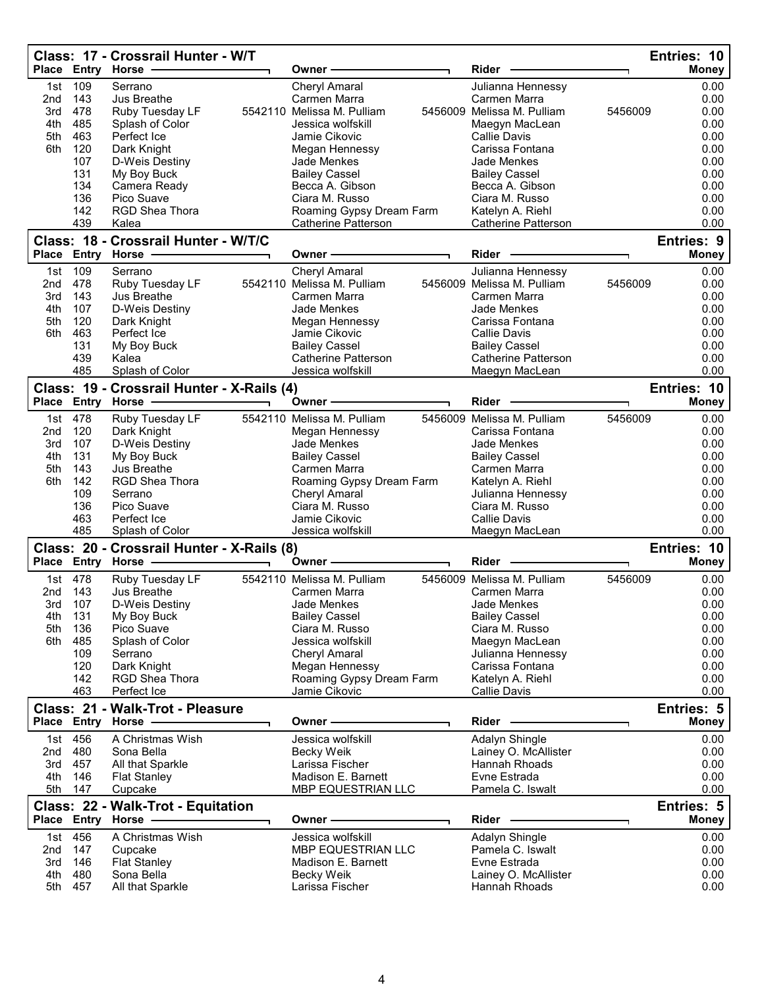|              |            | Class: 17 - Crossrail Hunter - W/T                         |                                                    |                                                 | Entries: 10                |
|--------------|------------|------------------------------------------------------------|----------------------------------------------------|-------------------------------------------------|----------------------------|
|              |            | Place Entry Horse -                                        | Owner                                              | Rider                                           | <b>Money</b>               |
| 1st          | 109        | Serrano                                                    | <b>Cheryl Amaral</b>                               | Julianna Hennessy                               | 0.00                       |
| 2nd          | 143        | <b>Jus Breathe</b>                                         | Carmen Marra                                       | Carmen Marra                                    | 0.00                       |
| 3rd          | 478        | Ruby Tuesday LF                                            | 5542110 Melissa M. Pulliam                         | 5456009 Melissa M. Pulliam                      | 0.00<br>5456009            |
| 4th<br>5th   | 485<br>463 | Splash of Color<br>Perfect Ice                             | Jessica wolfskill<br>Jamie Cikovic                 | Maegyn MacLean<br><b>Callie Davis</b>           | 0.00<br>0.00               |
| 6th          | 120        | Dark Knight                                                | Megan Hennessy                                     | Carissa Fontana                                 | 0.00                       |
|              | 107        | D-Weis Destiny                                             | Jade Menkes                                        | Jade Menkes                                     | 0.00                       |
|              | 131        | My Boy Buck                                                | <b>Bailey Cassel</b>                               | <b>Bailey Cassel</b>                            | 0.00                       |
|              | 134        | Camera Ready                                               | Becca A. Gibson                                    | Becca A. Gibson                                 | 0.00                       |
|              | 136        | Pico Suave                                                 | Ciara M. Russo                                     | Ciara M. Russo                                  | 0.00                       |
|              | 142        | <b>RGD Shea Thora</b>                                      | Roaming Gypsy Dream Farm                           | Katelyn A. Riehl                                | 0.00                       |
|              | 439        | Kalea                                                      | <b>Catherine Patterson</b>                         | <b>Catherine Patterson</b>                      | 0.00                       |
| <b>Place</b> |            | Class: 18 - Crossrail Hunter - W/T/C<br><b>Entry Horse</b> | Owner -                                            | Rider                                           | <b>Entries: 9</b><br>Money |
|              |            |                                                            |                                                    |                                                 |                            |
| 1st<br>2nd   | 109<br>478 | Serrano<br>Ruby Tuesday LF                                 | <b>Cheryl Amaral</b><br>5542110 Melissa M. Pulliam | Julianna Hennessy<br>5456009 Melissa M. Pulliam | 0.00<br>0.00<br>5456009    |
| 3rd          | 143        | Jus Breathe                                                | Carmen Marra                                       | Carmen Marra                                    | 0.00                       |
| 4th          | 107        | D-Weis Destiny                                             | Jade Menkes                                        | Jade Menkes                                     | 0.00                       |
| 5th          | 120        | Dark Knight                                                | Megan Hennessy                                     | Carissa Fontana                                 | 0.00                       |
| 6th          | 463        | Perfect Ice                                                | Jamie Cikovic                                      | <b>Callie Davis</b>                             | 0.00                       |
|              | 131        | My Boy Buck                                                | <b>Bailey Cassel</b>                               | <b>Bailey Cassel</b>                            | 0.00                       |
|              | 439        | Kalea                                                      | <b>Catherine Patterson</b>                         | <b>Catherine Patterson</b>                      | 0.00                       |
|              | 485        | Splash of Color                                            | Jessica wolfskill                                  | Maegyn MacLean                                  | 0.00                       |
|              |            | Class: 19 - Crossrail Hunter - X-Rails (4)                 |                                                    |                                                 | Entries: 10                |
|              |            | Place Entry Horse                                          | <b>Owner</b>                                       | Rider                                           | <b>Money</b>               |
| 1st          | 478        | Ruby Tuesday LF                                            | 5542110 Melissa M. Pulliam                         | 5456009 Melissa M. Pulliam                      | 5456009<br>0.00            |
| 2nd          | 120        | Dark Knight                                                | Megan Hennessy                                     | Carissa Fontana                                 | 0.00                       |
| 3rd          | 107        | D-Weis Destiny                                             | Jade Menkes                                        | Jade Menkes                                     | 0.00                       |
| 4th          | 131        | My Boy Buck                                                | <b>Bailey Cassel</b>                               | <b>Bailey Cassel</b>                            | 0.00                       |
| 5th<br>6th   | 143<br>142 | Jus Breathe<br>RGD Shea Thora                              | Carmen Marra<br>Roaming Gypsy Dream Farm           | Carmen Marra<br>Katelyn A. Riehl                | 0.00<br>0.00               |
|              | 109        | Serrano                                                    | Cheryl Amaral                                      | Julianna Hennessy                               | 0.00                       |
|              | 136        | Pico Suave                                                 | Ciara M. Russo                                     | Ciara M. Russo                                  | 0.00                       |
|              | 463        | Perfect Ice                                                | Jamie Cikovic                                      | <b>Callie Davis</b>                             | 0.00                       |
|              | 485        | Splash of Color                                            | Jessica wolfskill                                  | Maegyn MacLean                                  | 0.00                       |
|              |            | Class: 20 - Crossrail Hunter - X-Rails (8)                 |                                                    |                                                 | Entries: 10                |
|              |            | Place Entry Horse                                          | Owner                                              | Rider                                           | <b>Money</b>               |
| 1st.         | 478        | Ruby Tuesday LF                                            | 5542110 Melissa M. Pulliam                         | 5456009 Melissa M. Pulliam                      | 5456009<br>0.00            |
| 2nd          | 143        | Jus Breathe                                                | Carmen Marra                                       | Carmen Marra                                    | 0.00                       |
| 3rd          | 107        | D-Weis Destiny                                             | Jade Menkes                                        | Jade Menkes                                     | 0.00                       |
| 4th          | 131        | My Boy Buck                                                | <b>Bailey Cassel</b>                               | <b>Bailey Cassel</b>                            | 0.00                       |
| 5th<br>6th   | 136<br>485 | Pico Suave<br>Splash of Color                              | Ciara M. Russo<br>Jessica wolfskill                | Ciara M. Russo                                  | 0.00<br>0.00               |
|              | 109        | Serrano                                                    | <b>Cheryl Amaral</b>                               | Maegyn MacLean<br>Julianna Hennessy             | 0.00                       |
|              | 120        | Dark Knight                                                | Megan Hennessy                                     | Carissa Fontana                                 | 0.00                       |
|              | 142        | RGD Shea Thora                                             | Roaming Gypsy Dream Farm                           | Katelyn A. Riehl                                | 0.00                       |
|              | 463        | Perfect Ice                                                | Jamie Cikovic                                      | Callie Davis                                    | 0.00                       |
|              |            | Class: 21 - Walk-Trot - Pleasure                           |                                                    |                                                 | Entries: 5                 |
| Place        |            | <b>Entry Horse</b>                                         | Owner -                                            | Rider                                           | <b>Money</b>               |
| 1st          | 456        | A Christmas Wish                                           | Jessica wolfskill                                  | Adalyn Shingle                                  | 0.00                       |
| 2nd          | 480        | Sona Bella                                                 | Becky Weik                                         | Lainey O. McAllister                            | 0.00                       |
| 3rd          | 457        | All that Sparkle                                           | Larissa Fischer                                    | <b>Hannah Rhoads</b>                            | 0.00                       |
| 4th          | 146        | <b>Flat Stanley</b>                                        | Madison E. Barnett                                 | Evne Estrada                                    | 0.00                       |
| 5th          | 147        | Cupcake                                                    | MBP EQUESTRIAN LLC                                 | Pamela C. Iswalt                                | 0.00                       |
|              |            | Class: 22 - Walk-Trot - Equitation                         |                                                    |                                                 | Entries: 5                 |
|              |            | Place Entry Horse                                          | Owner⊹                                             | Rider                                           | <b>Money</b>               |
| 1st          | 456        | A Christmas Wish                                           | Jessica wolfskill                                  | Adalyn Shingle                                  | 0.00                       |
| 2nd          | 147        | Cupcake                                                    | MBP EQUESTRIAN LLC                                 | Pamela C. Iswalt                                | 0.00                       |
| 3rd<br>4th   | 146<br>480 | <b>Flat Stanley</b><br>Sona Bella                          | Madison E. Barnett<br>Becky Weik                   | Evne Estrada<br>Lainey O. McAllister            | 0.00<br>0.00               |
| 5th          | 457        | All that Sparkle                                           | Larissa Fischer                                    | Hannah Rhoads                                   | 0.00                       |
|              |            |                                                            |                                                    |                                                 |                            |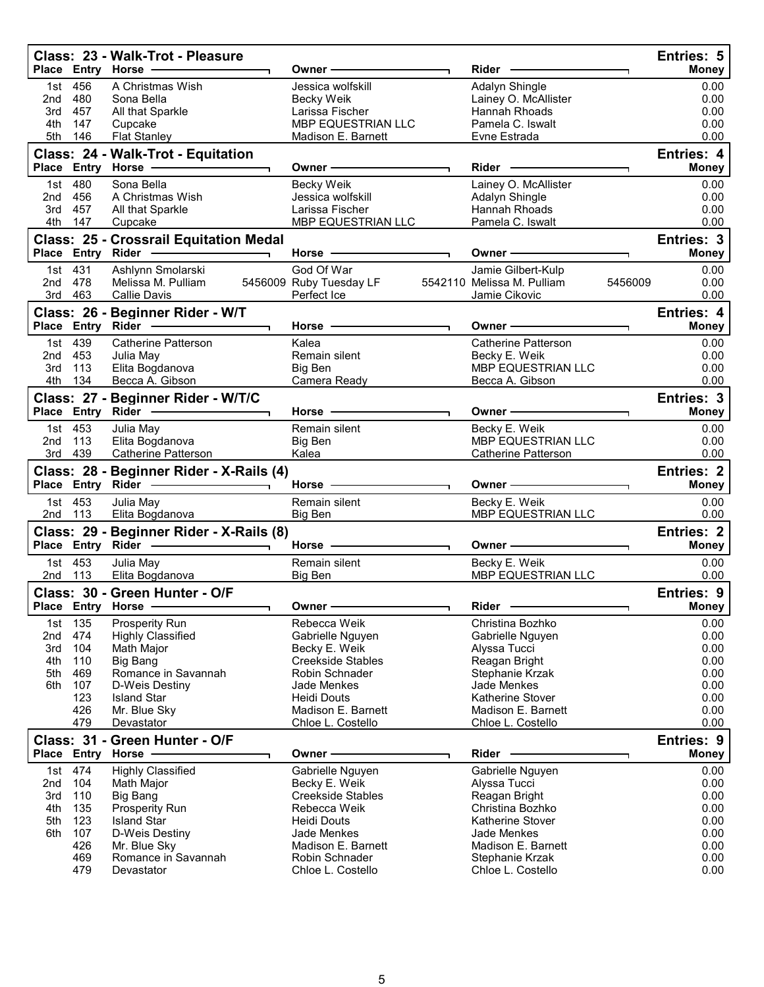|              |                    | Class: 23 - Walk-Trot - Pleasure                                      |                                          | Rider -                                     |         | <b>Entries: 5</b>                 |
|--------------|--------------------|-----------------------------------------------------------------------|------------------------------------------|---------------------------------------------|---------|-----------------------------------|
|              |                    | Place Entry Horse                                                     | Owner -                                  |                                             |         | <b>Money</b>                      |
|              | 1st 456<br>2nd 480 | A Christmas Wish<br>Sona Bella                                        | Jessica wolfskill<br>Becky Weik          | Adalyn Shingle<br>Lainey O. McAllister      |         | 0.00<br>0.00                      |
| 3rd          | 457                | All that Sparkle                                                      | Larissa Fischer                          | Hannah Rhoads                               |         | 0.00                              |
| 4th          | 147                | Cupcake                                                               | MBP EQUESTRIAN LLC                       | Pamela C. Iswalt                            |         | 0.00                              |
| 5th          | 146                | <b>Flat Stanley</b>                                                   | Madison E. Barnett                       | Evne Estrada                                |         | 0.00                              |
|              |                    | Class: 24 - Walk-Trot - Equitation<br>Place Entry Horse -             | Owner –                                  | Rider -                                     |         | Entries: 4<br><b>Money</b>        |
|              | 1st 480            | Sona Bella                                                            | Becky Weik                               | Lainey O. McAllister                        |         | 0.00                              |
|              | 2nd 456            | A Christmas Wish                                                      | Jessica wolfskill                        | Adalyn Shingle                              |         | 0.00                              |
|              | 3rd 457            | All that Sparkle                                                      | Larissa Fischer                          | Hannah Rhoads                               |         | 0.00                              |
| 4th          | 147                | Cupcake                                                               | MBP EQUESTRIAN LLC                       | Pamela C. Iswalt                            |         | 0.00                              |
|              |                    | <b>Class: 25 - Crossrail Equitation Medal</b>                         |                                          |                                             |         | Entries: 3                        |
|              |                    |                                                                       | Horse $-$                                | Owner –                                     |         | <b>Money</b>                      |
|              | 1st 431            | Ashlynn Smolarski                                                     | God Of War                               | Jamie Gilbert-Kulp                          |         | 0.00                              |
| 2nd 478      | 3rd 463            | Melissa M. Pulliam<br><b>Callie Davis</b>                             | 5456009 Ruby Tuesday LF<br>Perfect Ice   | 5542110 Melissa M. Pulliam<br>Jamie Cikovic | 5456009 | 0.00<br>0.00                      |
|              |                    |                                                                       |                                          |                                             |         | Entries: 4                        |
|              |                    | Class: 26 - Beginner Rider - W/T<br>Place Entry Rider -               | Horse $-$                                | Owner –                                     |         | <b>Money</b>                      |
|              | 1st 439            | <b>Catherine Patterson</b>                                            | Kalea                                    | <b>Catherine Patterson</b>                  |         | 0.00                              |
|              | 2nd 453            | Julia May                                                             | Remain silent                            | Becky E. Weik                               |         | 0.00                              |
| 3rd          | 113                | Elita Bogdanova                                                       | Big Ben                                  | <b>MBP EQUESTRIAN LLC</b>                   |         | 0.00                              |
| 4th          | 134                | Becca A. Gibson                                                       | Camera Ready                             | Becca A. Gibson                             |         | 0.00                              |
|              |                    | Class: 27 - Beginner Rider - W/T/C<br>Place Entry Rider ------------- | Horse -                                  | Owner-                                      |         | Entries: 3<br><b>Money</b>        |
|              | 1st 453            | Julia May                                                             | Remain silent                            |                                             |         | 0.00                              |
| 2nd          | 113                | Elita Bogdanova                                                       | Big Ben                                  | Becky E. Weik<br>MBP EQUESTRIAN LLC         |         | 0.00                              |
|              | 3rd 439            | <b>Catherine Patterson</b>                                            | Kalea                                    | <b>Catherine Patterson</b>                  |         | 0.00                              |
|              |                    |                                                                       |                                          |                                             |         |                                   |
|              |                    | Class: 28 - Beginner Rider - X-Rails (4)                              |                                          |                                             |         | <b>Entries: 2</b>                 |
|              |                    |                                                                       |                                          |                                             |         | <b>Money</b>                      |
|              | 1st 453<br>2nd 113 | Julia May<br>Elita Bogdanova                                          | Remain silent<br>Big Ben                 | Becky E. Weik<br>MBP EQUESTRIAN LLC         |         | 0.00<br>0.00                      |
|              |                    |                                                                       |                                          |                                             |         |                                   |
|              |                    | Class: 29 - Beginner Rider - X-Rails (8)<br>Place Entry Rider -<br>┑. | Horse $-$                                | Owner —                                     |         | <b>Entries: 2</b><br><b>Money</b> |
|              | 1st 453            |                                                                       | Remain silent                            |                                             |         | 0.00                              |
| 2nd          | 113                | Julia May<br>Elita Bogdanova                                          | Big Ben                                  | Becky E. Weik<br>MBP EQUESTRIAN LLC         |         | 0.00                              |
|              |                    | Class: 30 - Green Hunter - O/F                                        |                                          |                                             |         | <b>Entries: 9</b>                 |
| <b>Place</b> | Entry              | Horse                                                                 | Owner                                    | Rider                                       |         | Money                             |
| 1st          | 135                | Prosperity Run                                                        | Rebecca Weik                             | Christina Bozhko                            |         | 0.00                              |
| 2nd          | 474                | <b>Highly Classified</b>                                              | Gabrielle Nguyen                         | Gabrielle Nguyen                            |         | 0.00                              |
| 3rd          | 104                | Math Major                                                            | Becky E. Weik                            | Alyssa Tucci                                |         | 0.00                              |
| 4th          | 110                | Big Bang                                                              | <b>Creekside Stables</b>                 | Reagan Bright                               |         | 0.00                              |
| 5th          | 469                | Romance in Savannah<br>D-Weis Destiny                                 | Robin Schnader<br><b>Jade Menkes</b>     | Stephanie Krzak                             |         | 0.00                              |
| 6th          | 107<br>123         | <b>Island Star</b>                                                    | Heidi Douts                              | Jade Menkes<br>Katherine Stover             |         | 0.00<br>0.00                      |
|              | 426                | Mr. Blue Sky                                                          | Madison E. Barnett                       | Madison E. Barnett                          |         | 0.00                              |
|              | 479                | Devastator                                                            | Chloe L. Costello                        | Chloe L. Costello                           |         | 0.00                              |
|              |                    | Class: 31 - Green Hunter - O/F                                        |                                          |                                             |         | <b>Entries: 9</b>                 |
|              |                    | Place Entry Horse                                                     | Owner –                                  | Rider -                                     |         | <b>Money</b>                      |
|              | 1st 474            | <b>Highly Classified</b>                                              | Gabrielle Nguyen                         | Gabrielle Nguyen                            |         | 0.00                              |
| 2nd          | 104                | Math Major                                                            | Becky E. Weik                            | Alyssa Tucci                                |         | 0.00                              |
| 3rd<br>4th   | 110                | Big Bang                                                              | <b>Creekside Stables</b><br>Rebecca Weik | Reagan Bright<br>Christina Bozhko           |         | 0.00<br>0.00                      |
| 5th          | 135<br>123         | Prosperity Run<br><b>Island Star</b>                                  | <b>Heidi Douts</b>                       | Katherine Stover                            |         | 0.00                              |
| 6th          | 107                | D-Weis Destiny                                                        | Jade Menkes                              | Jade Menkes                                 |         | 0.00                              |
|              | 426                | Mr. Blue Sky                                                          | Madison E. Barnett                       | Madison E. Barnett                          |         | 0.00                              |
|              | 469<br>479         | Romance in Savannah<br>Devastator                                     | Robin Schnader<br>Chloe L. Costello      | Stephanie Krzak<br>Chloe L. Costello        |         | 0.00<br>0.00                      |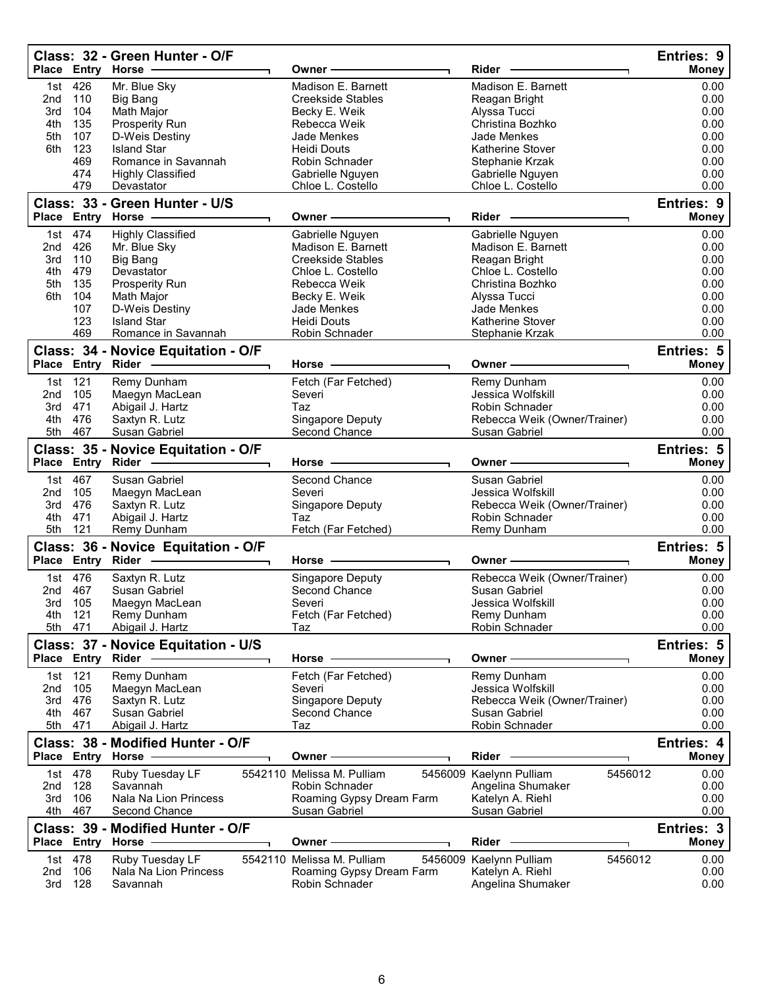|                 |                   | Class: 32 - Green Hunter - O/F<br>Place Entry Horse      | Owner <sub>:</sub>         | Rider                              | Entries: 9<br><b>Money</b> |
|-----------------|-------------------|----------------------------------------------------------|----------------------------|------------------------------------|----------------------------|
| 1st.            | 426               | Mr. Blue Sky                                             | Madison E. Barnett         | Madison E. Barnett                 | 0.00                       |
| 2nd             | 110               | Big Bang                                                 | <b>Creekside Stables</b>   | Reagan Bright                      | 0.00                       |
| 3rd             | 104               | Math Major                                               | Becky E. Weik              | Alyssa Tucci                       | 0.00                       |
| 4th             | 135               | Prosperity Run                                           | Rebecca Weik               | Christina Bozhko                   | 0.00                       |
| 5th             | 107               | D-Weis Destiny                                           | Jade Menkes                | Jade Menkes                        | 0.00                       |
| 6th             | 123               | <b>Island Star</b>                                       | <b>Heidi Douts</b>         | <b>Katherine Stover</b>            | 0.00                       |
|                 | 469               | Romance in Savannah                                      | Robin Schnader             | Stephanie Krzak                    | 0.00                       |
|                 | 474               | <b>Highly Classified</b>                                 | Gabrielle Nguyen           | Gabrielle Nguyen                   | 0.00                       |
|                 | 479               | Devastator                                               | Chloe L. Costello          | Chloe L. Costello                  | 0.00                       |
|                 |                   | Class: 33 - Green Hunter - U/S                           |                            |                                    | Entries: 9                 |
|                 |                   | Place Entry Horse -                                      | Owner -                    | Rider -                            | <b>Money</b>               |
| 1st l           | 474               | <b>Highly Classified</b>                                 | Gabrielle Nguyen           | Gabrielle Nguyen                   | 0.00                       |
| 2nd             | 426               | Mr. Blue Sky                                             | Madison E. Barnett         | Madison E. Barnett                 | 0.00                       |
| 3rd             | 110               | Big Bang                                                 | <b>Creekside Stables</b>   | Reagan Bright                      | 0.00                       |
| 4th             | 479               | Devastator                                               | Chloe L. Costello          | Chloe L. Costello                  | 0.00                       |
| 5th             | 135               | Prosperity Run                                           | Rebecca Weik               | Christina Bozhko                   | 0.00                       |
| 6th             | 104               | Math Major                                               | Becky E. Weik              | Alyssa Tucci                       | 0.00                       |
|                 | 107               | D-Weis Destiny                                           | Jade Menkes                | Jade Menkes                        | 0.00                       |
|                 | 123               | <b>Island Star</b>                                       | <b>Heidi Douts</b>         | Katherine Stover                   | 0.00                       |
|                 | 469               | Romance in Savannah                                      | Robin Schnader             | Stephanie Krzak                    | 0.00                       |
|                 |                   | Class: 34 - Novice Equitation - O/F                      |                            |                                    | Entries: 5                 |
|                 |                   | Place Entry Rider -                                      | Horse -                    | Owner –                            | <b>Money</b>               |
| 1st             | 121               | Remy Dunham                                              | Fetch (Far Fetched)        | Remy Dunham                        | 0.00                       |
| 2nd             | 105               | Maegyn MacLean                                           | Severi                     | Jessica Wolfskill                  | 0.00                       |
| 3rd             | 471               | Abigail J. Hartz                                         | Taz                        | Robin Schnader                     | 0.00                       |
| 4th             | 476               | Saxtyn R. Lutz                                           | Singapore Deputy           | Rebecca Weik (Owner/Trainer)       | 0.00                       |
|                 | 5th 467           | Susan Gabriel                                            | Second Chance              | Susan Gabriel                      | 0.00                       |
|                 |                   | Class: 35 - Novice Equitation - O/F                      |                            |                                    | Entries: 5                 |
|                 |                   | Place Entry Rider -                                      | Horse                      | Owner⊹                             | <b>Money</b>               |
|                 | 1st 467           | Susan Gabriel                                            | Second Chance              | Susan Gabriel                      | 0.00                       |
| 2nd             | 105               | Maegyn MacLean                                           | Severi                     | Jessica Wolfskill                  | 0.00                       |
| 3rd             | 476               | Saxtyn R. Lutz                                           | Singapore Deputy           | Rebecca Weik (Owner/Trainer)       | 0.00                       |
| 4th             | 471               | Abigail J. Hartz                                         | Taz                        | Robin Schnader                     | 0.00                       |
| 5th             | 121               | <b>Remy Dunham</b>                                       | Fetch (Far Fetched)        | Remy Dunham                        | 0.00                       |
|                 |                   | Class: 36 - Novice Equitation - O/F                      |                            |                                    | Entries: 5                 |
|                 |                   | Place Entry Rider -                                      | Horse -                    | Owner -                            | <b>Money</b>               |
|                 | 1st 476           | Saxtyn R. Lutz                                           | Singapore Deputy           | Rebecca Weik (Owner/Trainer)       | 0.00                       |
| 2nd             | 467               | Susan Gabriel                                            | Second Chance              | Susan Gabriel                      | 0.00                       |
|                 | 3rd 105           | Maegyn MacLean                                           | Severi                     | Jessica Wolfskill                  | 0.00                       |
| 4th             | 121               | Remy Dunham                                              | Fetch (Far Fetched)        | Remy Dunham                        | 0.00                       |
| 5th             | 471               | Abigail J. Hartz                                         | Taz                        | Robin Schnader                     | 0.00                       |
|                 |                   | Class: 37 - Novice Equitation - U/S                      |                            |                                    | Entries: 5                 |
|                 | Place Entry Rider |                                                          | Horse ·                    | Owner-                             | <b>Money</b>               |
| 1st             | 121               | Remy Dunham                                              | Fetch (Far Fetched)        | Remy Dunham                        | 0.00                       |
| 2nd             | 105               | Maegyn MacLean                                           | Severi                     | Jessica Wolfskill                  | 0.00                       |
| 3rd             | 476               | Saxtyn R. Lutz                                           | Singapore Deputy           | Rebecca Weik (Owner/Trainer)       | 0.00                       |
| 4th             | 467               | Susan Gabriel                                            | Second Chance              | Susan Gabriel                      | 0.00                       |
| 5th             | 471               | Abigail J. Hartz                                         | Taz                        | Robin Schnader                     | 0.00                       |
|                 |                   |                                                          |                            |                                    |                            |
|                 |                   | Class: 38 - Modified Hunter - O/F<br>Place Entry Horse   | Owner -                    | Rider                              | Entries: 4<br><b>Money</b> |
|                 | 1st 478           | Ruby Tuesday LF                                          | 5542110 Melissa M. Pulliam | 5456009 Kaelynn Pulliam<br>5456012 | 0.00                       |
| 2nd             | 128               | Savannah                                                 | Robin Schnader             | Angelina Shumaker                  | 0.00                       |
| 3rd             | 106               | Nala Na Lion Princess                                    | Roaming Gypsy Dream Farm   | Katelyn A. Riehl                   | 0.00                       |
| 4th             | 467               | Second Chance                                            | Susan Gabriel              | Susan Gabriel                      | 0.00                       |
|                 |                   |                                                          |                            |                                    |                            |
|                 |                   | Class: 39 - Modified Hunter - O/F<br>Place Entry Horse - | Owner -                    | Rider                              | Entries: 3<br><b>Money</b> |
|                 |                   |                                                          |                            |                                    |                            |
|                 | 1st 478           | Ruby Tuesday LF                                          | 5542110 Melissa M. Pulliam | 5456009 Kaelynn Pulliam<br>5456012 | 0.00                       |
| 2 <sub>nd</sub> | 106               | Nala Na Lion Princess                                    | Roaming Gypsy Dream Farm   | Katelyn A. Riehl                   | 0.00                       |
| 3rd             | 128               | Savannah                                                 | Robin Schnader             | Angelina Shumaker                  | 0.00                       |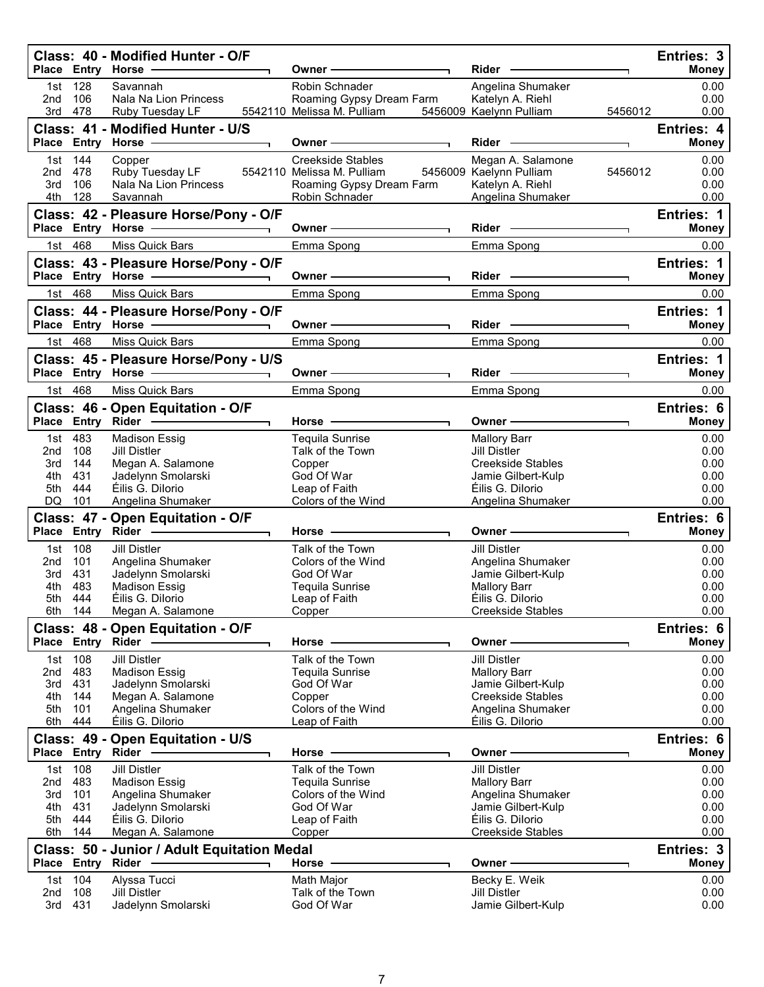|                                            |                                            | Class: 40 - Modified Hunter - O/F<br>Place Entry Horse -                                                                                                             | Owner –                                                                                                   | Rider -                                                                                                                               | Entries: 3<br><b>Money</b>                                 |
|--------------------------------------------|--------------------------------------------|----------------------------------------------------------------------------------------------------------------------------------------------------------------------|-----------------------------------------------------------------------------------------------------------|---------------------------------------------------------------------------------------------------------------------------------------|------------------------------------------------------------|
| 2nd                                        | 1st 128<br>106<br>3rd 478                  | Savannah<br>Nala Na Lion Princess<br>Ruby Tuesday LF                                                                                                                 | Robin Schnader<br>Roaming Gypsy Dream Farm<br>5542110 Melissa M. Pulliam                                  | Angelina Shumaker<br>Katelyn A. Riehl<br>5456009 Kaelynn Pulliam<br>5456012                                                           | 0.00<br>0.00<br>0.00                                       |
|                                            |                                            | Class: 41 - Modified Hunter - U/S<br>Place Entry Horse -------------                                                                                                 | Owner-                                                                                                    | $Rider \nightharpoonup$<br>┑.                                                                                                         | Entries: 4<br><b>Money</b>                                 |
| 2nd 478<br>3rd<br>4th                      | 1st 144<br>106<br>128                      | Copper<br>Ruby Tuesday LF<br>Nala Na Lion Princess<br>Savannah                                                                                                       | Creekside Stables<br>5542110 Melissa M. Pulliam<br>Roaming Gypsy Dream Farm<br>Robin Schnader             | Megan A. Salamone<br>5456009 Kaelynn Pulliam<br>5456012<br>Katelyn A. Riehl<br>Angelina Shumaker                                      | 0.00<br>0.00<br>0.00<br>0.00                               |
|                                            |                                            | Class: 42 - Pleasure Horse/Pony - O/F<br>Place Entry Horse - The Control of the Control of Theorem and Theorem and Theorem                                           | Owner $\overline{\phantom{iiiiiiiiiiiiiiiiiii}}$                                                          |                                                                                                                                       | Entries: 1<br><b>Money</b>                                 |
|                                            | 1st 468                                    | Miss Quick Bars                                                                                                                                                      | Emma Spong                                                                                                | Emma Spong                                                                                                                            | 0.00                                                       |
|                                            |                                            | Class: 43 - Pleasure Horse/Pony - O/F<br>Place Entry Horse -                                                                                                         | Owner —                                                                                                   | $Rider \nightharpoonup$                                                                                                               | <b>Entries: 1</b><br><b>Money</b>                          |
|                                            | 1st 468                                    | Miss Quick Bars                                                                                                                                                      | Emma Spong                                                                                                | Emma Spong                                                                                                                            | 0.00                                                       |
|                                            |                                            | Class: 44 - Pleasure Horse/Pony - O/F<br>Place Entry Horse - The Management of the Management of the Management of the Management of the Management of               | Owner —                                                                                                   | Rider -                                                                                                                               | Entries: 1<br><b>Money</b>                                 |
|                                            | 1st 468                                    | Miss Quick Bars                                                                                                                                                      | Emma Spong                                                                                                | Emma Spong                                                                                                                            | 0.00                                                       |
|                                            |                                            | Class: 45 - Pleasure Horse/Pony - U/S<br>Place Entry Horse - 2009                                                                                                    | Owner —                                                                                                   | Rider -<br>٦.                                                                                                                         | Entries: 1<br><b>Money</b>                                 |
|                                            | 1st 468                                    | Miss Quick Bars                                                                                                                                                      | Emma Spong                                                                                                | Emma Spong                                                                                                                            | 0.00                                                       |
|                                            |                                            | Class: 46 - Open Equitation - O/F                                                                                                                                    | Horse $-$                                                                                                 | Owner —                                                                                                                               | Entries: 6<br><b>Money</b>                                 |
| 2 <sub>nd</sub><br>3rd<br>4th<br>5th<br>DQ | 1st 483<br>108<br>144<br>431<br>444<br>101 | <b>Madison Essig</b><br><b>Jill Distler</b><br>Megan A. Salamone<br>Jadelynn Smolarski<br>Éilis G. Dilorio<br>Angelina Shumaker                                      | <b>Tequila Sunrise</b><br>Talk of the Town<br>Copper<br>God Of War<br>Leap of Faith<br>Colors of the Wind | <b>Mallory Barr</b><br><b>Jill Distler</b><br>Creekside Stables<br>Jamie Gilbert-Kulp<br>Éilis G. Dilorio<br>Angelina Shumaker        | 0.00<br>0.00<br>0.00<br>0.00<br>0.00<br>0.00               |
|                                            |                                            | Class: 47 - Open Equitation - O/F                                                                                                                                    | Horse                                                                                                     | Owner -                                                                                                                               | Entries: 6<br>Money                                        |
| 2nd<br>3rd<br>4th<br>5th<br>6th            | 1st 108<br>101<br>431<br>483<br>444<br>144 | <b>Jill Distler</b><br>Angelina Shumaker<br>Jadelynn Smolarski<br><b>Madison Essig</b><br>Éilis G. Dilorio<br>Megan A. Salamone                                      | Talk of the Town<br>Colors of the Wind<br>God Of War<br>Tequila Sunrise<br>Leap of Faith<br>Copper        | <b>Jill Distler</b><br>Angelina Shumaker<br>Jamie Gilbert-Kulp<br><b>Mallory Barr</b><br>Éilis G. Dilorio<br><b>Creekside Stables</b> | 0.00<br>0.00<br>0.00<br>0.00<br>0.00<br>0.00               |
|                                            | Place Entry Rider                          | Class: 48 - Open Equitation - O/F                                                                                                                                    | Horse ·                                                                                                   | Owner-                                                                                                                                | Entries: 6<br>Money                                        |
| 1st<br>2nd<br>3rd<br>4th<br>5th<br>6th     | 108<br>483<br>431<br>144<br>101<br>444     | <b>Jill Distler</b><br><b>Madison Essig</b><br>Jadelynn Smolarski<br>Megan A. Salamone<br>Angelina Shumaker<br>Éilis G. Dilorio<br>Class: 49 - Open Equitation - U/S | Talk of the Town<br>Tequila Sunrise<br>God Of War<br>Copper<br>Colors of the Wind<br>Leap of Faith        | <b>Jill Distler</b><br><b>Mallory Barr</b><br>Jamie Gilbert-Kulp<br><b>Creekside Stables</b><br>Angelina Shumaker<br>Éilis G. Dilorio | 0.00<br>0.00<br>0.00<br>0.00<br>0.00<br>0.00<br>Entries: 6 |
|                                            |                                            | Place Entry Rider -                                                                                                                                                  | Horse                                                                                                     | Owner -                                                                                                                               | <b>Money</b>                                               |
| 2nd<br>3rd<br>4th<br>5th<br>6th            | 1st 108<br>483<br>101<br>431<br>444<br>144 | <b>Jill Distler</b><br><b>Madison Essig</b><br>Angelina Shumaker<br>Jadelynn Smolarski<br>Éilis G. Dilorio<br>Megan A. Salamone                                      | Talk of the Town<br>Tequila Sunrise<br>Colors of the Wind<br>God Of War<br>Leap of Faith<br>Copper        | <b>Jill Distler</b><br><b>Mallory Barr</b><br>Angelina Shumaker<br>Jamie Gilbert-Kulp<br>Éilis G. Dilorio<br>Creekside Stables        | 0.00<br>0.00<br>0.00<br>0.00<br>0.00<br>0.00               |
|                                            |                                            | Class: 50 - Junior / Adult Equitation Medal<br>Place Entry Rider -                                                                                                   | Horse .                                                                                                   | Owner -                                                                                                                               | Entries: 3<br><b>Money</b>                                 |
| 1st<br>2nd                                 | 104<br>108<br>3rd 431                      | Alyssa Tucci<br><b>Jill Distler</b><br>Jadelynn Smolarski                                                                                                            | Math Major<br>Talk of the Town<br>God Of War                                                              | Becky E. Weik<br><b>Jill Distler</b><br>Jamie Gilbert-Kulp                                                                            | 0.00<br>0.00<br>0.00                                       |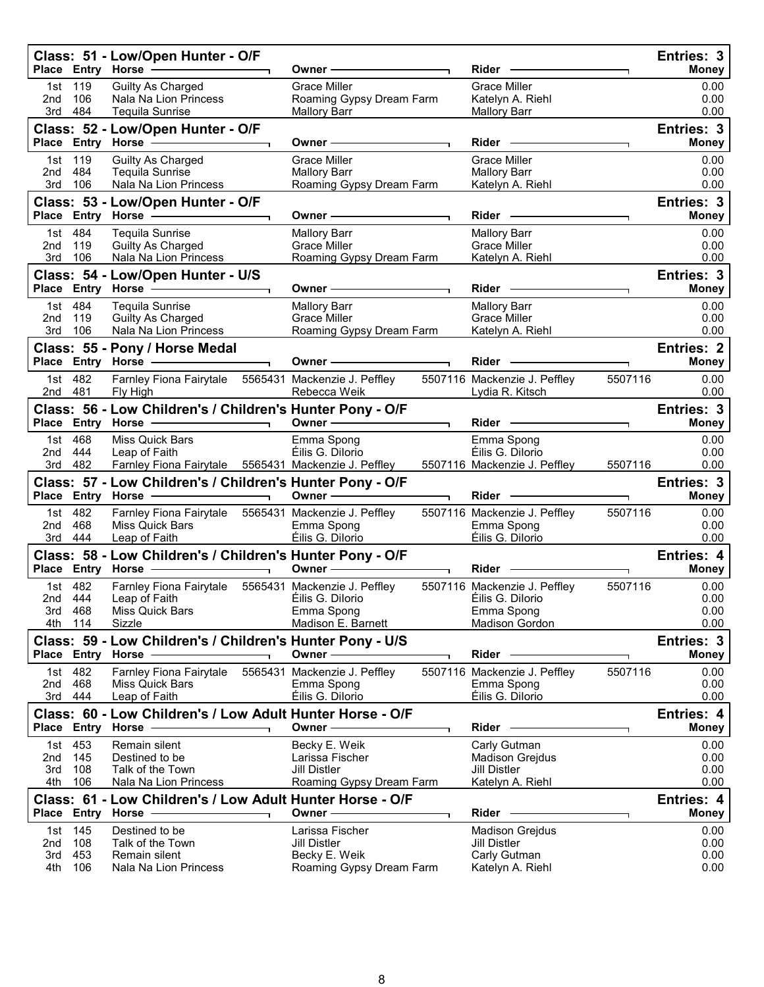|                           |                              | Class: 51 - Low/Open Hunter - O/F<br>Place Entry Horse -----------                                                                                      |                          | Owner –                                                                             |                          | Rider -                                                                           |         | Entries: 3<br><b>Money</b>        |
|---------------------------|------------------------------|---------------------------------------------------------------------------------------------------------------------------------------------------------|--------------------------|-------------------------------------------------------------------------------------|--------------------------|-----------------------------------------------------------------------------------|---------|-----------------------------------|
| 1st<br>2nd<br>3rd         | 119<br>106<br>484            | Guilty As Charged<br>Nala Na Lion Princess<br>Tequila Sunrise                                                                                           |                          | Grace Miller<br>Roaming Gypsy Dream Farm<br><b>Mallory Barr</b>                     |                          | <b>Grace Miller</b><br>Katelyn A. Riehl<br><b>Mallory Barr</b>                    |         | 0.00<br>0.00<br>0.00              |
|                           |                              | Class: 52 - Low/Open Hunter - O/F<br>Place Entry Horse -                                                                                                |                          | Owner-                                                                              |                          | Rider –                                                                           |         | Entries: 3<br><b>Money</b>        |
| 2nd<br>3rd                | 1st 119<br>484<br>106        | Guilty As Charged<br>Tequila Sunrise<br>Nala Na Lion Princess                                                                                           |                          | <b>Grace Miller</b><br><b>Mallory Barr</b><br>Roaming Gypsy Dream Farm              |                          | <b>Grace Miller</b><br><b>Mallory Barr</b><br>Katelyn A. Riehl                    |         | 0.00<br>0.00<br>0.00              |
|                           |                              | Class: 53 - Low/Open Hunter - O/F                                                                                                                       |                          | Owner -                                                                             |                          | $Rider \nightharpoonup$                                                           |         | Entries: 3<br><b>Money</b>        |
| 2nd<br>3rd                | 1st 484<br>119<br>106        | <b>Tequila Sunrise</b><br>Guilty As Charged<br>Nala Na Lion Princess                                                                                    |                          | <b>Mallory Barr</b><br><b>Grace Miller</b><br>Roaming Gypsy Dream Farm              |                          | <b>Mallory Barr</b><br><b>Grace Miller</b><br>Katelyn A. Riehl                    |         | 0.00<br>0.00<br>0.00              |
|                           |                              | Class: 54 - Low/Open Hunter - U/S<br>Place Entry Horse - The Management of the Management of the Management of the Management of the Management of      |                          | Owner -                                                                             |                          | $Rider -$                                                                         |         | Entries: 3<br><b>Money</b>        |
| 2nd<br>3rd 106            | 1st 484<br>119               | Tequila Sunrise<br><b>Guilty As Charged</b><br>Nala Na Lion Princess                                                                                    |                          | <b>Mallory Barr</b><br><b>Grace Miller</b><br>Roaming Gypsy Dream Farm              |                          | <b>Mallory Barr</b><br><b>Grace Miller</b><br>Katelyn A. Riehl                    |         | 0.00<br>0.00<br>0.00              |
|                           |                              | Class: 55 - Pony / Horse Medal                                                                                                                          |                          | Owner -                                                                             |                          | Rider -                                                                           |         | <b>Entries: 2</b><br><b>Money</b> |
| 2nd 481                   | 1st 482                      | Farnley Fiona Fairytale 5565431 Mackenzie J. Peffley<br>Fly High                                                                                        |                          | Rebecca Weik                                                                        |                          | 5507116 Mackenzie J. Peffley<br>Lydia R. Kitsch                                   | 5507116 | 0.00<br>0.00                      |
|                           |                              | Class: 56 - Low Children's / Children's Hunter Pony - O/F<br>Place Entry Horse - and the manufacturer                                                   |                          | Owner -                                                                             |                          | $Rider -$                                                                         |         | Entries: 3<br><b>Money</b>        |
| 2nd                       | 1st 468<br>444<br>3rd 482    | Miss Quick Bars<br>Leap of Faith<br>Farnley Fiona Fairytale 5565431 Mackenzie J. Peffley                                                                |                          | Emma Spong<br>Éilis G. Dilorio                                                      |                          | Emma Spong<br>Éilis G. Dilorio<br>5507116 Mackenzie J. Peffley                    | 5507116 | 0.00<br>0.00<br>0.00              |
|                           |                              | Class: 57 - Low Children's / Children's Hunter Pony - O/F<br>$\overline{\phantom{a}}$ . The contract of $\overline{\phantom{a}}$<br>Place Entry Horse - |                          | Owner $\overline{\phantom{iiiiiiiiiiiiiiiiiii}}$                                    |                          | Rider -                                                                           |         | Entries: 3<br><b>Money</b>        |
| 2nd                       | 1st 482<br>468<br>3rd 444    | Farnley Fiona Fairytale 5565431 Mackenzie J. Peffley<br>Miss Quick Bars<br>Leap of Faith                                                                |                          | Emma Spong<br>Éilis G. Dilorio                                                      |                          | 5507116 Mackenzie J. Peffley<br>Emma Spong<br>Éilis G. Dilorio                    | 5507116 | 0.00<br>0.00<br>0.00              |
|                           |                              | Class: 58 - Low Children's / Children's Hunter Pony - O/F<br>Place Entry Horse -                                                                        | $\overline{\phantom{0}}$ | Owner $\longrightarrow$                                                             | $\overline{\phantom{0}}$ | Rider -                                                                           |         | Entries: 4<br>Money               |
| 2nd 444<br>3rd 468<br>4th | 1st 482<br>114               | Farnley Fiona Fairytale 5565431 Mackenzie J. Peffley<br>Leap of Faith<br>Miss Quick Bars<br>Sizzle                                                      |                          | Éilis G. Dilorio<br>Emma Spong<br>Madison E. Barnett                                |                          | 5507116 Mackenzie J. Peffley<br>Éilis G. Dilorio<br>Emma Spong<br>Madison Gordon  | 5507116 | 0.00<br>0.00<br>0.00<br>0.00      |
|                           |                              | Class: 59 - Low Children's / Children's Hunter Pony - U/S<br>Place Entry Horse                                                                          |                          | Owner -                                                                             |                          | <b>Rider</b>                                                                      |         | Entries: 3<br><b>Money</b>        |
| 1st<br>2nd<br>3rd         | 482<br>468<br>444            | Farnley Fiona Fairytale<br>Miss Quick Bars<br>Leap of Faith                                                                                             |                          | 5565431 Mackenzie J. Peffley<br>Emma Spong<br>Éilis G. Dilorio                      |                          | 5507116 Mackenzie J. Peffley<br>Emma Spong<br>Éilis G. Dilorio                    | 5507116 | 0.00<br>0.00<br>0.00              |
|                           |                              | Class: 60 - Low Children's / Low Adult Hunter Horse - O/F<br>Place Entry Horse                                                                          |                          | Owner -                                                                             |                          | Rider                                                                             |         | Entries: 4<br>Money               |
| 2nd<br>3rd<br>4th         | 1st 453<br>145<br>108<br>106 | Remain silent<br>Destined to be<br>Talk of the Town<br>Nala Na Lion Princess                                                                            |                          | Becky E. Weik<br>Larissa Fischer<br><b>Jill Distler</b><br>Roaming Gypsy Dream Farm |                          | Carly Gutman<br><b>Madison Grejdus</b><br>Jill Distler<br>Katelyn A. Riehl        |         | 0.00<br>0.00<br>0.00<br>0.00      |
|                           |                              | Class: 61 - Low Children's / Low Adult Hunter Horse - O/F<br>Place Entry Horse                                                                          |                          | Owner                                                                               |                          | Rider                                                                             |         | Entries: 4<br><b>Money</b>        |
| 1st<br>2nd<br>3rd<br>4th  | 145<br>108<br>453<br>106     | Destined to be<br>Talk of the Town<br>Remain silent<br>Nala Na Lion Princess                                                                            |                          | Larissa Fischer<br><b>Jill Distler</b><br>Becky E. Weik<br>Roaming Gypsy Dream Farm |                          | <b>Madison Grejdus</b><br><b>Jill Distler</b><br>Carly Gutman<br>Katelyn A. Riehl |         | 0.00<br>0.00<br>0.00<br>0.00      |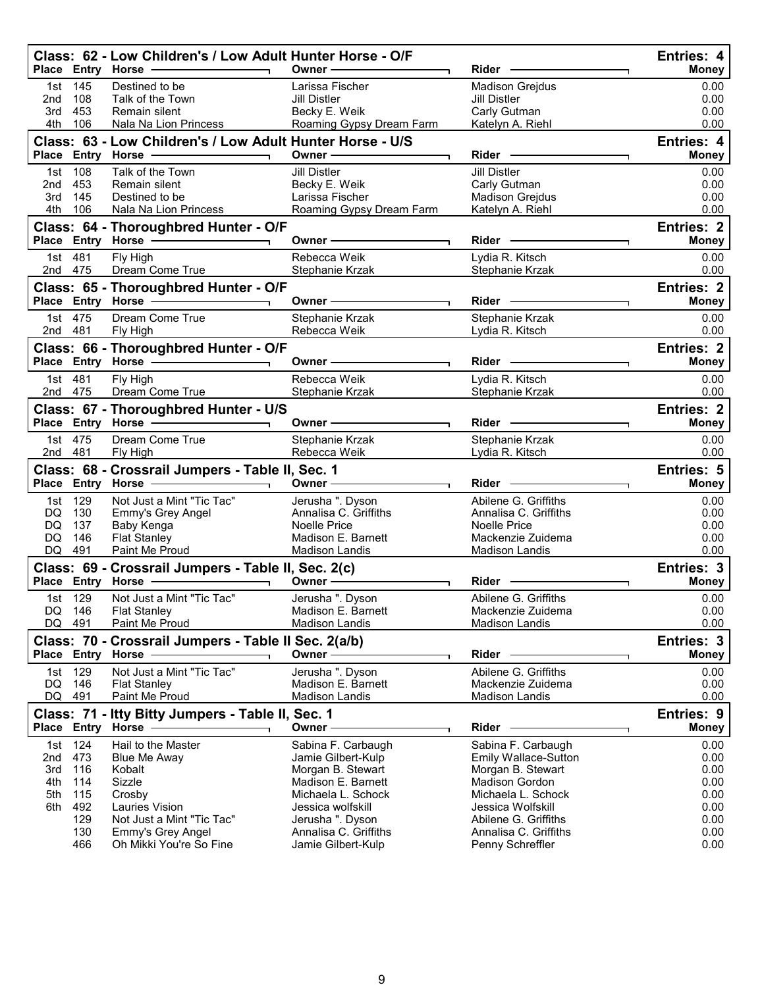|                                        |                                                             | Class: 62 - Low Children's / Low Adult Hunter Horse - O/F<br>Place Entry Horse - and the manufacturer                                                                         | Owner -                                                                                                                                                                                                                       | Rider -                                                                                                                                                                                                  | Entries: 4<br><b>Money</b>                                           |
|----------------------------------------|-------------------------------------------------------------|-------------------------------------------------------------------------------------------------------------------------------------------------------------------------------|-------------------------------------------------------------------------------------------------------------------------------------------------------------------------------------------------------------------------------|----------------------------------------------------------------------------------------------------------------------------------------------------------------------------------------------------------|----------------------------------------------------------------------|
| 1st<br>2nd<br>3rd<br>4th               | 145<br>108<br>453<br>106                                    | Destined to be<br>Talk of the Town<br>Remain silent<br>Nala Na Lion Princess                                                                                                  | Larissa Fischer<br>Jill Distler<br>Becky E. Weik<br>Roaming Gypsy Dream Farm                                                                                                                                                  | <b>Madison Grejdus</b><br><b>Jill Distler</b><br>Carly Gutman<br>Katelyn A. Riehl                                                                                                                        | 0.00<br>0.00<br>0.00<br>0.00                                         |
|                                        |                                                             | Class: 63 - Low Children's / Low Adult Hunter Horse - U/S                                                                                                                     | Owner $\longrightarrow$                                                                                                                                                                                                       | Rider —                                                                                                                                                                                                  | Entries: 4<br><b>Money</b>                                           |
| 1st.<br>2nd 453<br>3rd<br>4th          | 108<br>145<br>106                                           | Talk of the Town<br>Remain silent<br>Destined to be<br>Nala Na Lion Princess                                                                                                  | Jill Distler<br>Becky E. Weik<br>Larissa Fischer<br>Roaming Gypsy Dream Farm                                                                                                                                                  | Jill Distler<br>Carly Gutman<br><b>Madison Grejdus</b><br>Katelyn A. Riehl                                                                                                                               | 0.00<br>0.00<br>0.00<br>0.00                                         |
|                                        |                                                             | Class: 64 - Thoroughbred Hunter - O/F<br>Place Entry Horse - 2008                                                                                                             | Owner - The Common Section 2014                                                                                                                                                                                               | Rider -                                                                                                                                                                                                  | Entries: 2<br><b>Money</b>                                           |
| 1st 481<br>2nd 475                     |                                                             | Fly High<br>Dream Come True                                                                                                                                                   | Rebecca Weik<br>Stephanie Krzak                                                                                                                                                                                               | Lydia R. Kitsch<br>Stephanie Krzak                                                                                                                                                                       | 0.00<br>0.00                                                         |
|                                        |                                                             | Class: 65 - Thoroughbred Hunter - O/F                                                                                                                                         | Owner $\longrightarrow$                                                                                                                                                                                                       | Rider -                                                                                                                                                                                                  | <b>Entries: 2</b><br><b>Money</b>                                    |
| 1st 475<br>2nd 481                     |                                                             | Dream Come True<br>Fly High                                                                                                                                                   | Stephanie Krzak<br>Rebecca Weik                                                                                                                                                                                               | Stephanie Krzak<br>Lydia R. Kitsch                                                                                                                                                                       | 0.00<br>0.00                                                         |
|                                        |                                                             | Class: 66 - Thoroughbred Hunter - O/F<br>Place Entry Horse - 2000                                                                                                             | Owner - The Common Common Common Common Common Common Common Common Common Common Common Common Common Common Common Common Common Common Common Common Common Common Common Common Common Common Common Common Common Common | Rider -                                                                                                                                                                                                  | Entries: 2<br><b>Money</b>                                           |
| 1st 481<br>2nd 475                     |                                                             | Fly High<br>Dream Come True                                                                                                                                                   | Rebecca Weik<br>Stephanie Krzak                                                                                                                                                                                               | Lydia R. Kitsch<br>Stephanie Krzak                                                                                                                                                                       | 0.00<br>0.00                                                         |
|                                        |                                                             | Class: 67 - Thoroughbred Hunter - U/S<br>Place Entry Horse - 2000                                                                                                             | Owner - The Common Section 2014                                                                                                                                                                                               | Rider -                                                                                                                                                                                                  | <b>Entries: 2</b><br><b>Money</b>                                    |
| 1st 475<br>2nd 481                     |                                                             | Dream Come True<br>Fly High                                                                                                                                                   | Stephanie Krzak<br>Rebecca Weik                                                                                                                                                                                               | Stephanie Krzak<br>Lydia R. Kitsch                                                                                                                                                                       | 0.00<br>0.00                                                         |
|                                        |                                                             | Class: 68 - Crossrail Jumpers - Table II, Sec. 1<br>Place Entry Horse - Place                                                                                                 |                                                                                                                                                                                                                               | $Rider -$                                                                                                                                                                                                | Entries: 5<br><b>Money</b>                                           |
| 1st 129<br>DQ.<br>DQ<br>DQ<br>DQ 491   | 130<br>137<br>146                                           | Not Just a Mint "Tic Tac"<br>Emmy's Grey Angel<br>Baby Kenga<br><b>Flat Stanley</b><br>Paint Me Proud                                                                         | Jerusha ". Dyson<br>Annalisa C. Griffiths<br><b>Noelle Price</b><br>Madison E. Barnett<br><b>Madison Landis</b>                                                                                                               | Abilene G. Griffiths<br>Annalisa C. Griffiths<br><b>Noelle Price</b><br>Mackenzie Zuidema<br><b>Madison Landis</b>                                                                                       | 0.00<br>0.00<br>0.00<br>0.00<br>0.00                                 |
|                                        |                                                             | Class: 69 - Crossrail Jumpers - Table II, Sec. 2(c)<br>Place Entry Horse - Alleman Control Control Control Control Control Control Control Control Control Control Co         | Owner $\longrightarrow$                                                                                                                                                                                                       | Rider -                                                                                                                                                                                                  | Entries: 3<br><b>Money</b>                                           |
| 1st 129<br>DQ<br>DQ.                   | 146<br>491                                                  | Not Just a Mint "Tic Tac"<br><b>Flat Stanley</b><br>Paint Me Proud                                                                                                            | Jerusha ". Dyson<br>Madison E. Barnett<br>Madison Landis                                                                                                                                                                      | Abilene G. Griffiths<br>Mackenzie Zuidema<br><b>Madison Landis</b>                                                                                                                                       | 0.00<br>0.00<br>0.00                                                 |
|                                        |                                                             | Class: 70 - Crossrail Jumpers - Table II Sec. 2(a/b)<br>Place Entry Horse                                                                                                     | Owner-                                                                                                                                                                                                                        | <b>Rider</b>                                                                                                                                                                                             | Entries: 3<br><b>Money</b>                                           |
| 1st<br>DQ<br>DQ                        | 129<br>146<br>491                                           | Not Just a Mint "Tic Tac"<br><b>Flat Stanley</b><br>Paint Me Proud                                                                                                            | Jerusha ". Dyson<br>Madison E. Barnett<br><b>Madison Landis</b>                                                                                                                                                               | Abilene G. Griffiths<br>Mackenzie Zuidema<br><b>Madison Landis</b>                                                                                                                                       | 0.00<br>0.00<br>0.00                                                 |
|                                        |                                                             | Class: 71 - Itty Bitty Jumpers - Table II, Sec. 1<br>Place Entry Horse                                                                                                        | Owner -                                                                                                                                                                                                                       | <b>Rider</b>                                                                                                                                                                                             | Entries: 9<br><b>Money</b>                                           |
| 1st<br>2nd<br>3rd<br>4th<br>5th<br>6th | 124<br>473<br>116<br>114<br>115<br>492<br>129<br>130<br>466 | Hail to the Master<br><b>Blue Me Away</b><br>Kobalt<br>Sizzle<br>Crosby<br><b>Lauries Vision</b><br>Not Just a Mint "Tic Tac"<br>Emmy's Grey Angel<br>Oh Mikki You're So Fine | Sabina F. Carbaugh<br>Jamie Gilbert-Kulp<br>Morgan B. Stewart<br>Madison E. Barnett<br>Michaela L. Schock<br>Jessica wolfskill<br>Jerusha ". Dyson<br>Annalisa C. Griffiths<br>Jamie Gilbert-Kulp                             | Sabina F. Carbaugh<br>Emily Wallace-Sutton<br>Morgan B. Stewart<br><b>Madison Gordon</b><br>Michaela L. Schock<br>Jessica Wolfskill<br>Abilene G. Griffiths<br>Annalisa C. Griffiths<br>Penny Schreffler | 0.00<br>0.00<br>0.00<br>0.00<br>0.00<br>0.00<br>0.00<br>0.00<br>0.00 |